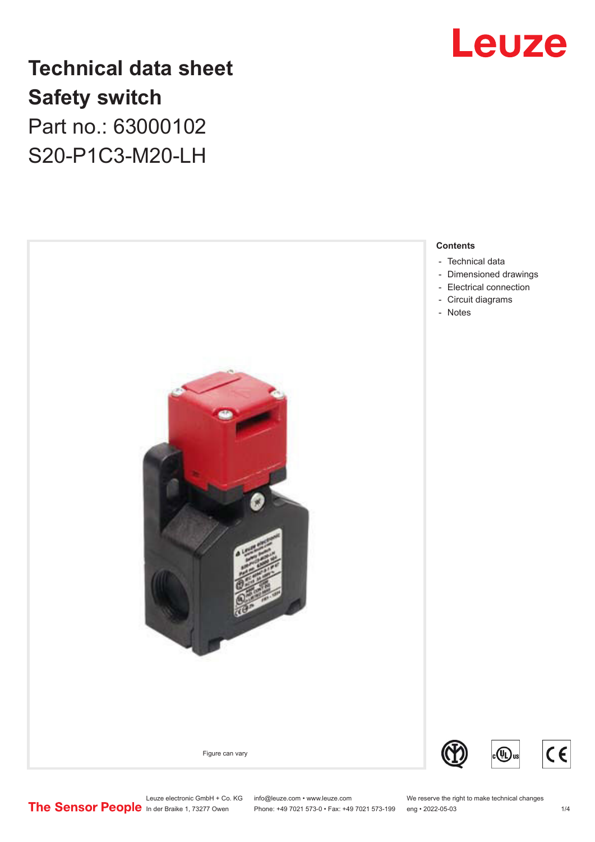## Leuze

## **Technical data sheet Safety switch** Part no.: 63000102 S20-P1C3-M20-LH



Leuze electronic GmbH + Co. KG info@leuze.com • www.leuze.com We reserve the right to make technical changes<br> **The Sensor People** in der Braike 1, 73277 Owen Phone: +49 7021 573-0 • Fax: +49 7021 573-199 eng • 2022-05-03

Phone: +49 7021 573-0 • Fax: +49 7021 573-199 eng • 2022-05-03 1/4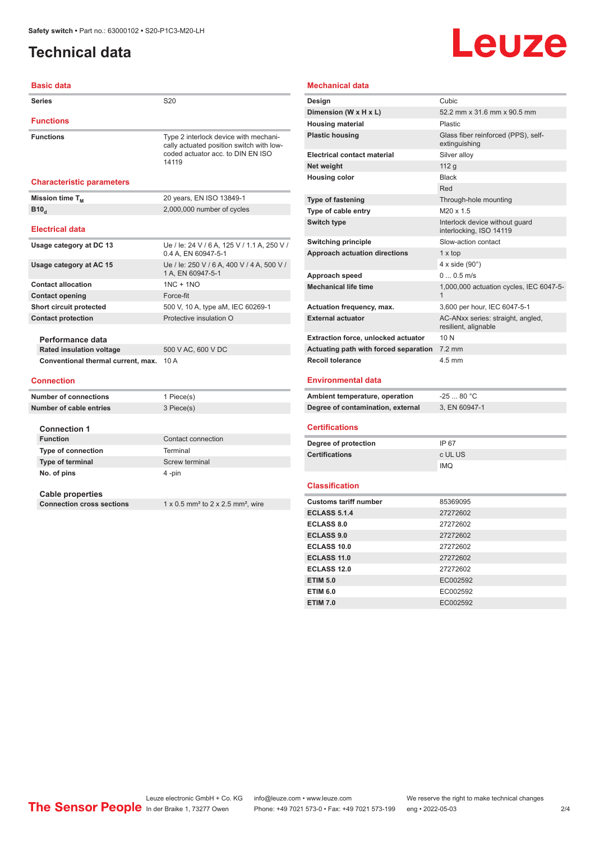### <span id="page-1-0"></span>**Technical data**

**Basic data**

# Leuze

#### **Mechanical data**

| <b>Series</b>                      | S <sub>20</sub>                                                                                                                 |
|------------------------------------|---------------------------------------------------------------------------------------------------------------------------------|
| <b>Functions</b>                   |                                                                                                                                 |
| <b>Functions</b>                   | Type 2 interlock device with mechani-<br>cally actuated position switch with low-<br>coded actuator acc. to DIN EN ISO<br>14119 |
| <b>Characteristic parameters</b>   |                                                                                                                                 |
| Mission time T <sub>M</sub>        | 20 years, EN ISO 13849-1                                                                                                        |
| B10 <sub>a</sub>                   | 2,000,000 number of cycles                                                                                                      |
| <b>Electrical data</b>             |                                                                                                                                 |
| Usage category at DC 13            | Ue / le: 24 V / 6 A, 125 V / 1.1 A, 250 V /<br>0.4 A, EN 60947-5-1                                                              |
| Usage category at AC 15            | Ue / le: 250 V / 6 A, 400 V / 4 A, 500 V /<br>1 A, EN 60947-5-1                                                                 |
| <b>Contact allocation</b>          | $1NC + 1NO$                                                                                                                     |
| <b>Contact opening</b>             | Force-fit                                                                                                                       |
| Short circuit protected            | 500 V, 10 A, type aM, IEC 60269-1                                                                                               |
| <b>Contact protection</b>          | Protective insulation O                                                                                                         |
| Performance data                   |                                                                                                                                 |
| <b>Rated insulation voltage</b>    | 500 V AC, 600 V DC                                                                                                              |
| Conventional thermal current, max. | 10A                                                                                                                             |
| <b>Connection</b>                  |                                                                                                                                 |
| <b>Number of connections</b>       | 1 Piece(s)                                                                                                                      |
| Number of cable entries            | 3 Piece(s)                                                                                                                      |
| <b>Connection 1</b>                |                                                                                                                                 |
| <b>Function</b>                    | Contact connection                                                                                                              |
| <b>Type of connection</b>          | Terminal                                                                                                                        |
| <b>Type of terminal</b>            | Screw terminal                                                                                                                  |

## **Cable properties**

**No. of pins** 4 -pin

| Design                                     | Cubic                                                     |
|--------------------------------------------|-----------------------------------------------------------|
| Dimension (W x H x L)                      | 52.2 mm x 31.6 mm x 90.5 mm                               |
| <b>Housing material</b>                    | Plastic                                                   |
| <b>Plastic housing</b>                     | Glass fiber reinforced (PPS), self-<br>extinguishing      |
| <b>Electrical contact material</b>         | Silver allov                                              |
| Net weight                                 | 112a                                                      |
| <b>Housing color</b>                       | <b>Black</b>                                              |
|                                            | Red                                                       |
| <b>Type of fastening</b>                   | Through-hole mounting                                     |
| Type of cable entry                        | $M20 \times 15$                                           |
| Switch type                                | Interlock device without quard<br>interlocking, ISO 14119 |
| <b>Switching principle</b>                 | Slow-action contact                                       |
| <b>Approach actuation directions</b>       | $1 \times top$                                            |
|                                            | $4 \times$ side (90 $^{\circ}$ )                          |
| Approach speed                             | $0.05 \text{ m/s}$                                        |
| <b>Mechanical life time</b>                | 1,000,000 actuation cycles, IEC 6047-5-<br>1              |
| Actuation frequency, max.                  | 3,600 per hour, IEC 6047-5-1                              |
| <b>External actuator</b>                   | AC-ANxx series: straight, angled,<br>resilient, alignable |
| <b>Extraction force, unlocked actuator</b> | 10 N                                                      |
| Actuating path with forced separation      | $7.2 \text{ mm}$                                          |
| <b>Recoil tolerance</b>                    | $4.5$ mm                                                  |
| <b>Environmental data</b>                  |                                                           |

| Ambient temperature, operation    | -25  80 °C    |
|-----------------------------------|---------------|
| Degree of contamination, external | 3. EN 60947-1 |

#### **Certifications**

| Degree of protection  | IP 67      |
|-----------------------|------------|
| <b>Certifications</b> | c UL US    |
|                       | <b>IMQ</b> |

#### **Classification**

| <b>Customs tariff number</b> | 85369095 |
|------------------------------|----------|
| <b>ECLASS 5.1.4</b>          | 27272602 |
| <b>ECLASS 8.0</b>            | 27272602 |
| <b>ECLASS 9.0</b>            | 27272602 |
| ECLASS 10.0                  | 27272602 |
| <b>ECLASS 11.0</b>           | 27272602 |
| ECLASS 12.0                  | 27272602 |
| <b>ETIM 5.0</b>              | EC002592 |
| <b>ETIM 6.0</b>              | EC002592 |
| <b>ETIM 7.0</b>              | EC002592 |

 $1 \times 0.5$  mm<sup>2</sup> to  $2 \times 2.5$  mm<sup>2</sup>, wire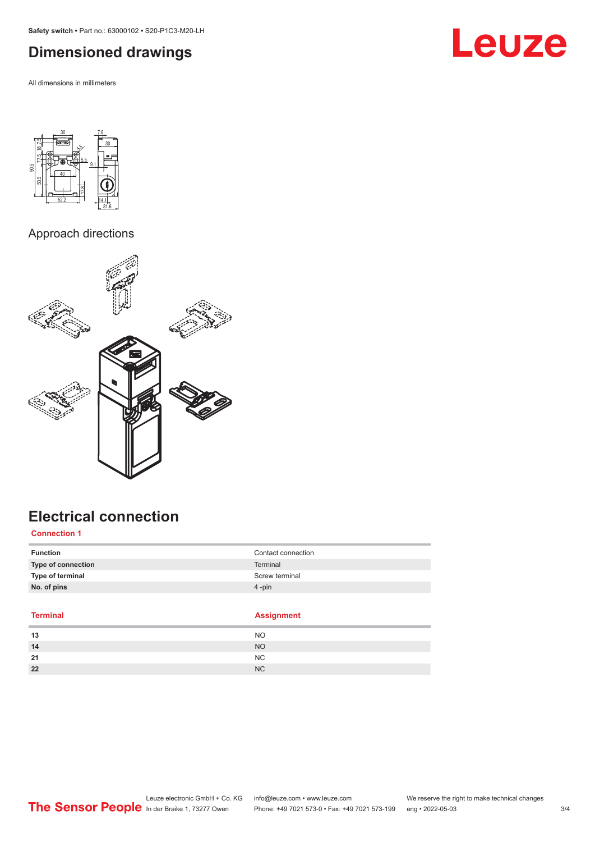<span id="page-2-0"></span>**Safety switch •** Part no.: 63000102 **•** S20-P1C3-M20-LH

### **Dimensioned drawings**

All dimensions in millimeters



Approach directions



## **Electrical connection**

#### **Connection 1**

| <b>Function</b>           | Contact connection |
|---------------------------|--------------------|
| <b>Type of connection</b> | Terminal           |
| <b>Type of terminal</b>   | Screw terminal     |
| No. of pins               | $4$ -pin           |

|    | н |   |
|----|---|---|
|    |   |   |
| ×  |   |   |
| ۰. |   |   |
|    |   | × |

#### **Terminal Assignment**

| 13 | <b>NO</b> |
|----|-----------|
| 14 | <b>NO</b> |
| 21 | <b>NC</b> |
| 22 | <b>NC</b> |

## **Leuze**